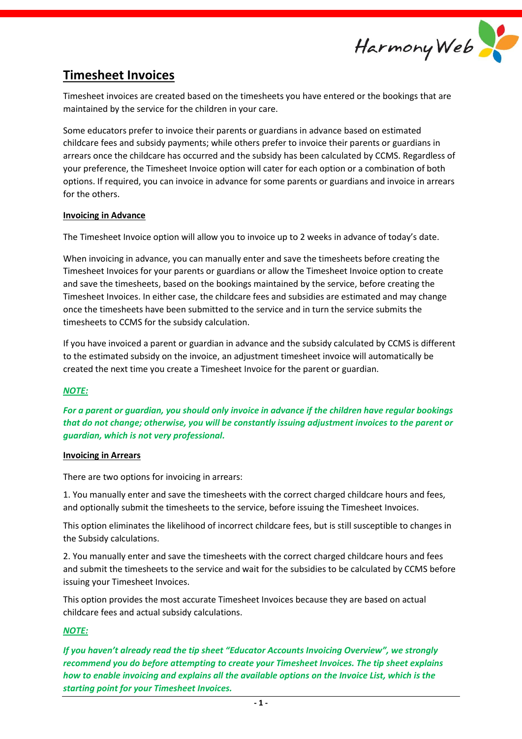

# **Timesheet Invoices**

Timesheet invoices are created based on the timesheets you have entered or the bookings that are maintained by the service for the children in your care.

Some educators prefer to invoice their parents or guardians in advance based on estimated childcare fees and subsidy payments; while others prefer to invoice their parents or guardians in arrears once the childcare has occurred and the subsidy has been calculated by CCMS. Regardless of your preference, the Timesheet Invoice option will cater for each option or a combination of both options. If required, you can invoice in advance for some parents or guardians and invoice in arrears for the others.

## **Invoicing in Advance**

The Timesheet Invoice option will allow you to invoice up to 2 weeks in advance of today's date.

When invoicing in advance, you can manually enter and save the timesheets before creating the Timesheet Invoices for your parents or guardians or allow the Timesheet Invoice option to create and save the timesheets, based on the bookings maintained by the service, before creating the Timesheet Invoices. In either case, the childcare fees and subsidies are estimated and may change once the timesheets have been submitted to the service and in turn the service submits the timesheets to CCMS for the subsidy calculation.

If you have invoiced a parent or guardian in advance and the subsidy calculated by CCMS is different to the estimated subsidy on the invoice, an adjustment timesheet invoice will automatically be created the next time you create a Timesheet Invoice for the parent or guardian.

# *NOTE:*

*For a parent or guardian, you should only invoice in advance if the children have regular bookings that do not change; otherwise, you will be constantly issuing adjustment invoices to the parent or guardian, which is not very professional.*

#### **Invoicing in Arrears**

There are two options for invoicing in arrears:

1. You manually enter and save the timesheets with the correct charged childcare hours and fees, and optionally submit the timesheets to the service, before issuing the Timesheet Invoices.

This option eliminates the likelihood of incorrect childcare fees, but is still susceptible to changes in the Subsidy calculations.

2. You manually enter and save the timesheets with the correct charged childcare hours and fees and submit the timesheets to the service and wait for the subsidies to be calculated by CCMS before issuing your Timesheet Invoices.

This option provides the most accurate Timesheet Invoices because they are based on actual childcare fees and actual subsidy calculations.

# *NOTE:*

*If you haven't already read the tip sheet "Educator Accounts Invoicing Overview", we strongly recommend you do before attempting to create your Timesheet Invoices. The tip sheet explains how to enable invoicing and explains all the available options on the Invoice List, which is the starting point for your Timesheet Invoices.*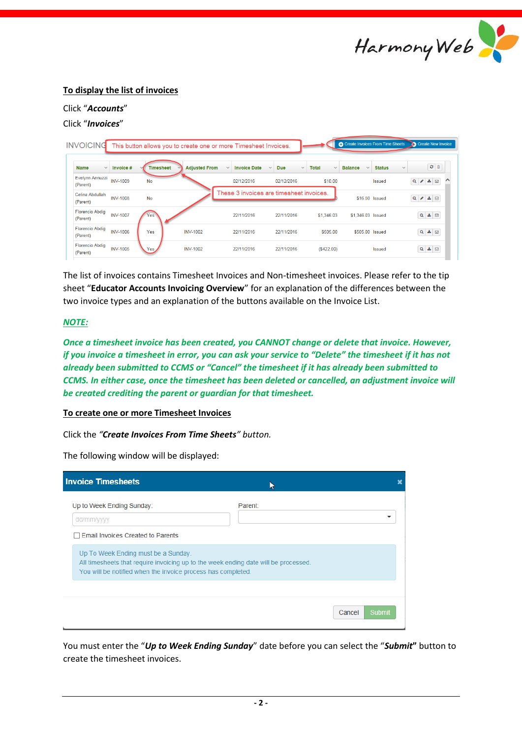

# **To display the list of invoices**

# Click "*Accounts*"

# Click "*Invoices*"

| <b>INVOICING</b><br>This button allows you to create one or more Timesheet Invoices. |                 |                  |                      |                                          |                                            |                              |                                | Create Invoices From Time Sheets<br>Create New Invoice |                                         |  |
|--------------------------------------------------------------------------------------|-----------------|------------------|----------------------|------------------------------------------|--------------------------------------------|------------------------------|--------------------------------|--------------------------------------------------------|-----------------------------------------|--|
| <b>Name</b><br>$\checkmark$                                                          | Invoice #       | <b>Timesheet</b> | <b>Adjusted From</b> | <b>Invoice Date</b><br>$\checkmark$      | <b>Due</b><br>$\checkmark$<br>$\checkmark$ | <b>Total</b><br>$\checkmark$ | <b>Balance</b><br>$\checkmark$ | <b>Status</b><br>$\checkmark$                          | $2$ $\circ$                             |  |
| Evelynn Annuzzi<br>(Parent)                                                          | <b>INV-1009</b> | <b>No</b>        |                      | 02/12/2016                               | 02/12/2016                                 | \$10.00                      |                                | <b>Issued</b>                                          | $\frac{1}{2}$ $\boxtimes$<br>$Q \times$ |  |
| Celina Abdullah<br>(Parent)                                                          | <b>INV-1008</b> | <b>No</b>        |                      | These 3 invoices are timesheet invoices. |                                            |                              | \$16.50 Issued                 |                                                        | $Q \mid A \mid \Delta   D$              |  |
| <b>Florencio Abdiq</b><br>(Parent)                                                   | <b>INV-1007</b> | Yes              |                      | 22/11/2016                               | 22/11/2016                                 | \$1,346.03                   | \$1,346.03 Issued              |                                                        | $Q \triangleq \Box$                     |  |
| <b>Florencio Abdig</b><br>(Parent)                                                   | <b>INV-1006</b> | Yes              | <b>INV-1002</b>      | 22/11/2016                               | 22/11/2016                                 | \$505.00                     | \$505.00 Issued                |                                                        | $Q \triangleq \Box$                     |  |
| <b>Florencio Abdig</b><br>(Parent)                                                   | <b>INV-1005</b> | Yes              | <b>INV-1002</b>      | 22/11/2016                               | 22/11/2016                                 | (\$422.00)                   |                                | <b>Issued</b>                                          | $Q \triangleq \Box$                     |  |

The list of invoices contains Timesheet Invoices and Non-timesheet invoices. Please refer to the tip sheet "**Educator Accounts Invoicing Overview**" for an explanation of the differences between the two invoice types and an explanation of the buttons available on the Invoice List.

## *NOTE:*

*Once a timesheet invoice has been created, you CANNOT change or delete that invoice. However, if you invoice a timesheet in error, you can ask your service to "Delete" the timesheet if it has not already been submitted to CCMS or "Cancel" the timesheet if it has already been submitted to CCMS. In either case, once the timesheet has been deleted or cancelled, an adjustment invoice will be created crediting the parent or guardian for that timesheet.*

#### **To create one or more Timesheet Invoices**

Click the *"Create Invoices From Time Sheets" button.*

The following window will be displayed:

| <b>Invoice Timesheets</b>                                                                                                                                                                  |                  |  |  |  |  |  |  |
|--------------------------------------------------------------------------------------------------------------------------------------------------------------------------------------------|------------------|--|--|--|--|--|--|
| Up to Week Ending Sunday:<br>dd/mm/yyyy<br><b>Email Invoices Created to Parents</b>                                                                                                        | Parent:          |  |  |  |  |  |  |
| Up To Week Ending must be a Sunday.<br>All timesheets that require invoicing up to the week ending date will be processed.<br>You will be notified when the invoice process has completed. |                  |  |  |  |  |  |  |
|                                                                                                                                                                                            | Cancel<br>Submit |  |  |  |  |  |  |

You must enter the "*Up to Week Ending Sunday*" date before you can select the "*Submit***"** button to create the timesheet invoices.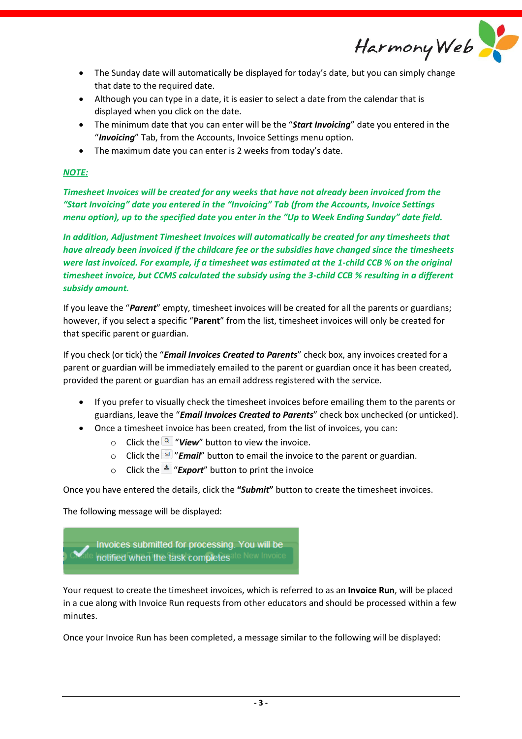Harmony Web

- The Sunday date will automatically be displayed for today's date, but you can simply change that date to the required date.
- Although you can type in a date, it is easier to select a date from the calendar that is displayed when you click on the date.
- The minimum date that you can enter will be the "*Start Invoicing*" date you entered in the "*Invoicing*" Tab, from the Accounts, Invoice Settings menu option.
- The maximum date you can enter is 2 weeks from today's date.

# *NOTE:*

*Timesheet Invoices will be created for any weeks that have not already been invoiced from the "Start Invoicing" date you entered in the "Invoicing" Tab (from the Accounts, Invoice Settings menu option), up to the specified date you enter in the "Up to Week Ending Sunday" date field.*

*In addition, Adjustment Timesheet Invoices will automatically be created for any timesheets that have already been invoiced if the childcare fee or the subsidies have changed since the timesheets were last invoiced. For example, if a timesheet was estimated at the 1-child CCB % on the original timesheet invoice, but CCMS calculated the subsidy using the 3-child CCB % resulting in a different subsidy amount.*

If you leave the "*Parent*" empty, timesheet invoices will be created for all the parents or guardians; however, if you select a specific "**Parent**" from the list, timesheet invoices will only be created for that specific parent or guardian.

If you check (or tick) the "*Email Invoices Created to Parents*" check box, any invoices created for a parent or guardian will be immediately emailed to the parent or guardian once it has been created, provided the parent or guardian has an email address registered with the service.

- If you prefer to visually check the timesheet invoices before emailing them to the parents or guardians, leave the "*Email Invoices Created to Parents*" check box unchecked (or unticked).
- Once a timesheet invoice has been created, from the list of invoices, you can:
	- $\circ$  Click the  $\alpha$  "*View*" button to view the invoice.
	- o Click the "*Email*" button to email the invoice to the parent or guardian.
	- o Click the  $\triangle$  "**Export**" button to print the invoice

Once you have entered the details, click the **"***Submit***"** button to create the timesheet invoices.

The following message will be displayed:



Your request to create the timesheet invoices, which is referred to as an **Invoice Run**, will be placed in a cue along with Invoice Run requests from other educators and should be processed within a few minutes.

Once your Invoice Run has been completed, a message similar to the following will be displayed: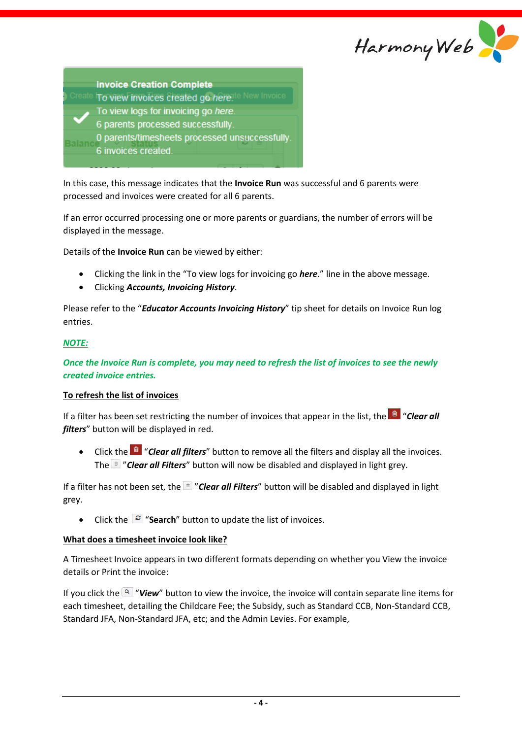

| <b>Invoice Creation Complete</b>                   |
|----------------------------------------------------|
| e New Invoice<br>To view invoices created go here. |
| To view logs for invoicing go here.                |
| 6 parents processed successfully.                  |
| 0 parents/timesheets processed unsuccessfully.     |
| 6 invoices created.                                |

In this case, this message indicates that the **Invoice Run** was successful and 6 parents were processed and invoices were created for all 6 parents.

If an error occurred processing one or more parents or guardians, the number of errors will be displayed in the message.

Details of the **Invoice Run** can be viewed by either:

- Clicking the link in the "To view logs for invoicing go *here*." line in the above message.
- Clicking *Accounts, Invoicing History*.

Please refer to the "*Educator Accounts Invoicing History*" tip sheet for details on Invoice Run log entries.

#### *NOTE:*

*Once the Invoice Run is complete, you may need to refresh the list of invoices to see the newly created invoice entries.*

#### **To refresh the list of invoices**

If a filter has been set restricting the number of invoices that appear in the list, the <sup>a</sup> "Clear all *filters*" button will be displayed in red.

• Click the **<sup>a</sup>** "**Clear all filters**" button to remove all the filters and display all the invoices. The "*Clear all Filters*" button will now be disabled and displayed in light grey.

If a filter has not been set, the "*Clear all Filters*" button will be disabled and displayed in light grey.

• Click the  $\mathcal{F}$  "**Search**" button to update the list of invoices.

#### **What does a timesheet invoice look like?**

A Timesheet Invoice appears in two different formats depending on whether you View the invoice details or Print the invoice:

If you click the  $\overline{Q}$  "View" button to view the invoice, the invoice will contain separate line items for each timesheet, detailing the Childcare Fee; the Subsidy, such as Standard CCB, Non-Standard CCB, Standard JFA, Non-Standard JFA, etc; and the Admin Levies. For example,